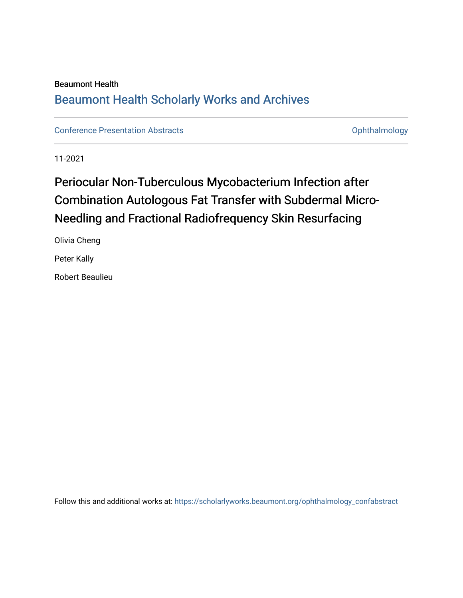#### Beaumont Health [Beaumont Health Scholarly Works and Archives](https://scholarlyworks.beaumont.org/)

[Conference Presentation Abstracts](https://scholarlyworks.beaumont.org/ophthalmology_confabstract) **Conference Presentation Abstracts Conference Presentation Abstracts Conference Presentation Abstracts Conference Presentation Abstracts Conference Presentation Abstracts Confere** 

11-2021

## Periocular Non-Tuberculous Mycobacterium Infection after Combination Autologous Fat Transfer with Subdermal Micro-Needling and Fractional Radiofrequency Skin Resurfacing

Olivia Cheng Peter Kally

Robert Beaulieu

Follow this and additional works at: [https://scholarlyworks.beaumont.org/ophthalmology\\_confabstract](https://scholarlyworks.beaumont.org/ophthalmology_confabstract?utm_source=scholarlyworks.beaumont.org%2Fophthalmology_confabstract%2F11&utm_medium=PDF&utm_campaign=PDFCoverPages)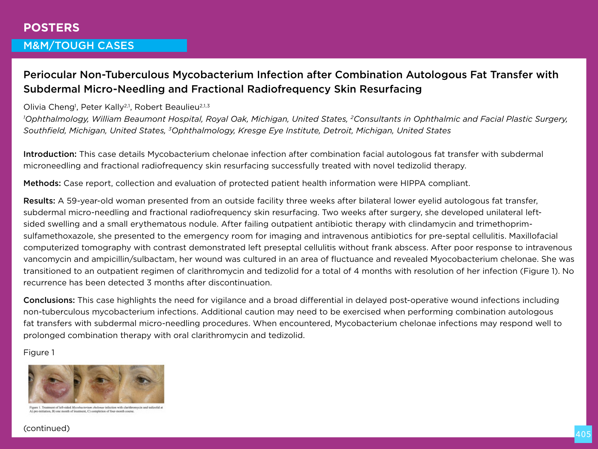# **POSTERS**

## M&M/TOUGH CASES

## Periocular Non-Tuberculous Mycobacterium Infection after Combination Autologous Fat Transfer with Subdermal Micro-Needling and Fractional Radiofrequency Skin Resurfacing

Olivia Cheng<sup>1</sup>, Peter Kally<sup>2,1</sup>, Robert Beaulieu<sup>2,1,3</sup>

*1 Ophthalmology, William Beaumont Hospital, Royal Oak, Michigan, United States, 2Consultants in Ophthalmic and Facial Plastic Surgery, Southfield, Michigan, United States, 3Ophthalmology, Kresge Eye Institute, Detroit, Michigan, United States*

Introduction: This case details Mycobacterium chelonae infection after combination facial autologous fat transfer with subdermal microneedling and fractional radiofrequency skin resurfacing successfully treated with novel tedizolid therapy.

Methods: Case report, collection and evaluation of protected patient health information were HIPPA compliant.

Results: A 59-year-old woman presented from an outside facility three weeks after bilateral lower eyelid autologous fat transfer, subdermal micro-needling and fractional radiofrequency skin resurfacing. Two weeks after surgery, she developed unilateral leftsided swelling and a small erythematous nodule. After failing outpatient antibiotic therapy with clindamycin and trimethoprimsulfamethoxazole, she presented to the emergency room for imaging and intravenous antibiotics for pre-septal cellulitis. Maxillofacial computerized tomography with contrast demonstrated left preseptal cellulitis without frank abscess. After poor response to intravenous vancomycin and ampicillin/sulbactam, her wound was cultured in an area of fluctuance and revealed Myocobacterium chelonae. She was transitioned to an outpatient regimen of clarithromycin and tedizolid for a total of 4 months with resolution of her infection (Figure 1). No recurrence has been detected 3 months after discontinuation.

Conclusions: This case highlights the need for vigilance and a broad differential in delayed post-operative wound infections including non-tuberculous mycobacterium infections. Additional caution may need to be exercised when performing combination autologous fat transfers with subdermal micro-needling procedures. When encountered, Mycobacterium chelonae infections may respond well to prolonged combination therapy with oral clarithromycin and tedizolid.

Figure 1



Figure 1. Treatment of left-sided Mycobacteriam chelonge infection with clarifiremycin and tediscolid a A) are initiation. B) one month of treatment. C) completion of four-month course